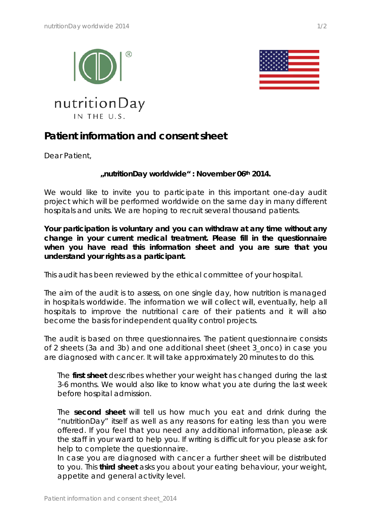





## **Patient information and consent sheet**

Dear Patient,

## **"nutritionDay worldwide" : November 06th 2014.**

We would like to invite you to participate in this important one-day audit project which will be performed worldwide on the same day in many different hospitals and units. We are hoping to recruit several thousand patients.

**Your participation is voluntary and you can withdraw at any time without any change in your current medical treatment. Please fill in the questionnaire when you have read this information sheet and you are sure that you understand your rights as a participant.**

This audit has been reviewed by the ethical committee of your hospital.

The aim of the audit is to assess, on one single day, how nutrition is managed in hospitals worldwide. The information we will collect will, eventually, help all hospitals to improve the nutritional care of their patients and it will also become the basis for independent quality control projects.

The audit is based on three questionnaires. The patient questionnaire consists of 2 sheets (3a and 3b) and one additional sheet (sheet 3\_onco) in case you are diagnosed with cancer. It will take approximately 20 minutes to do this.

The **first sheet** describes whether your weight has changed during the last 3-6 months. We would also like to know what you ate during the last week before hospital admission.

The **second sheet** will tell us how much you eat and drink during the "nutritionDay" itself as well as any reasons for eating less than you were offered. If you feel that you need any additional information, please ask the staff in your ward to help you. If writing is difficult for you please ask for help to complete the questionnaire.

In case you are diagnosed with cancer a further sheet will be distributed to you. This **third sheet** asks you about your eating behaviour, your weight, appetite and general activity level.